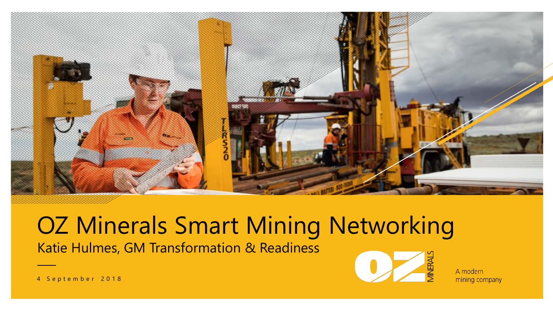

# Katie Hulmes, GM Transformation & Readiness OZ Minerals Smart Mining Networking



A modern mining company

4 September 2018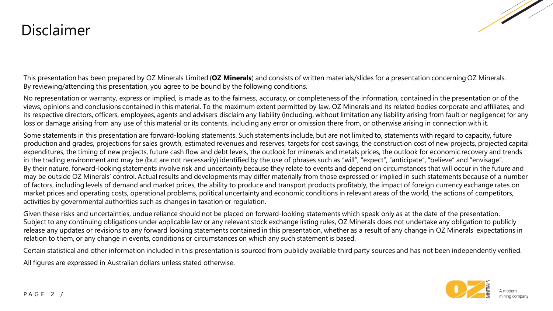### Disclaimer



This presentation has been prepared by OZ Minerals Limited (**OZ Minerals**) and consists of written materials/slides for a presentation concerning OZ Minerals. By reviewing/attending this presentation, you agree to be bound by the following conditions.

No representation or warranty, express or implied, is made as to the fairness, accuracy, or completeness of the information, contained in the presentation or of the views, opinions and conclusions contained in this material. To the maximum extent permitted by law, OZ Minerals and its related bodies corporate and affiliates, and its respective directors, officers, employees, agents and advisers disclaim any liability (including, without limitation any liability arising from fault or negligence) for any loss or damage arising from any use of this material or its contents, including any error or omission there from, or otherwise arising in connection with it.

Some statements in this presentation are forward-looking statements. Such statements include, but are not limited to, statements with regard to capacity, future production and grades, projections for sales growth, estimated revenues and reserves, targets for cost savings, the construction cost of new projects, projected capital expenditures, the timing of new projects, future cash flow and debt levels, the outlook for minerals and metals prices, the outlook for economic recovery and trends in the trading environment and may be (but are not necessarily) identified by the use of phrases such as "will", "expect", "anticipate", "believe" and "envisage". By their nature, forward-looking statements involve risk and uncertainty because they relate to events and depend on circumstances that will occur in the future and may be outside OZ Minerals' control. Actual results and developments may differ materially from those expressed or implied in such statements because of a number of factors, including levels of demand and market prices, the ability to produce and transport products profitably, the impact of foreign currency exchange rates on market prices and operating costs, operational problems, political uncertainty and economic conditions in relevant areas of the world, the actions of competitors, activities by governmental authorities such as changes in taxation or regulation.

Given these risks and uncertainties, undue reliance should not be placed on forward-looking statements which speak only as at the date of the presentation. Subject to any continuing obligations under applicable law or any relevant stock exchange listing rules, OZ Minerals does not undertake any obligation to publicly release any updates or revisions to any forward looking statements contained in this presentation, whether as a result of any change in OZ Minerals' expectations in relation to them, or any change in events, conditions or circumstances on which any such statement is based.

Certain statistical and other information included in this presentation is sourced from publicly available third party sources and has not been independently verified.

All figures are expressed in Australian dollars unless stated otherwise.

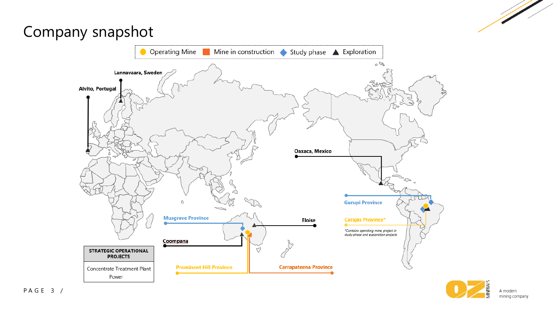## Company snapshot



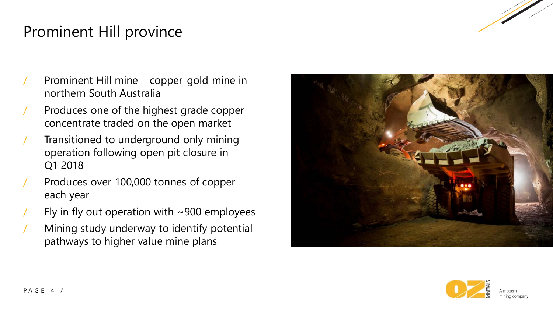

## Prominent Hill province

- Prominent Hill mine copper-gold mine in northern South Australia
- / Produces one of the highest grade copper concentrate traded on the open market
- Transitioned to underground only mining operation following open pit closure in Q1 2018
- Produces over 100,000 tonnes of copper each year
- Fly in fly out operation with  $\sim$ 900 employees
- / Mining study underway to identify potential pathways to higher value mine plans



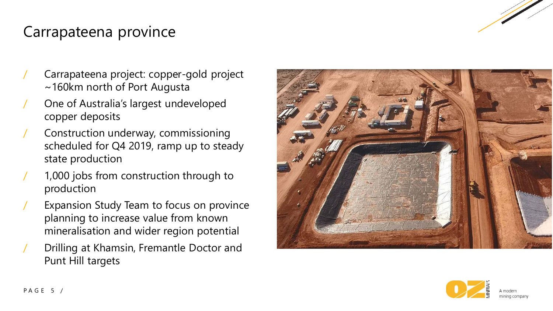

## Carrapateena province

- / Carrapateena project: copper-gold project ~160km north of Port Augusta
- / One of Australia's largest undeveloped copper deposits
- / Construction underway, commissioning scheduled for Q4 2019, ramp up to steady state production
- 1,000 jobs from construction through to production
- Expansion Study Team to focus on province planning to increase value from known mineralisation and wider region potential
- / Drilling at Khamsin, Fremantle Doctor and Punt Hill targets



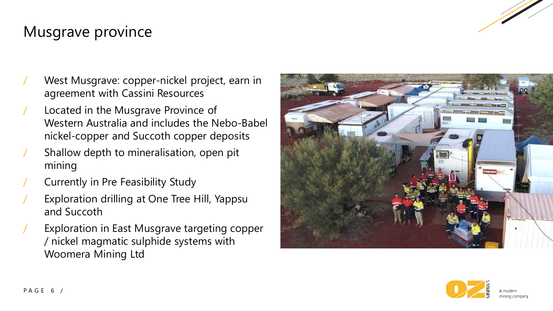

### Musgrave province

- West Musgrave: copper-nickel project, earn in agreement with Cassini Resources
- Located in the Musgrave Province of Western Australia and includes the Nebo-Babel nickel-copper and Succoth copper deposits
- Shallow depth to mineralisation, open pit mining
- / Currently in Pre Feasibility Study
- Exploration drilling at One Tree Hill, Yappsu and Succoth
- Exploration in East Musgrave targeting copper / nickel magmatic sulphide systems with Woomera Mining Ltd



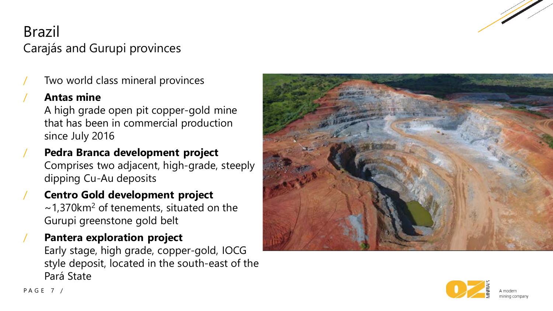

## Brazil Carajás and Gurupi provinces

Two world class mineral provinces

#### / **Antas mine**

A high grade open pit copper-gold mine that has been in commercial production since July 2016

- / **Pedra Branca development project** Comprises two adjacent, high-grade, steeply dipping Cu-Au deposits
- / **Centro Gold development project**  $\sim$ 1,370km<sup>2</sup> of tenements, situated on the Gurupi greenstone gold belt
- / **Pantera exploration project** Early stage, high grade, copper-gold, IOCG style deposit, located in the south-east of the Pará State



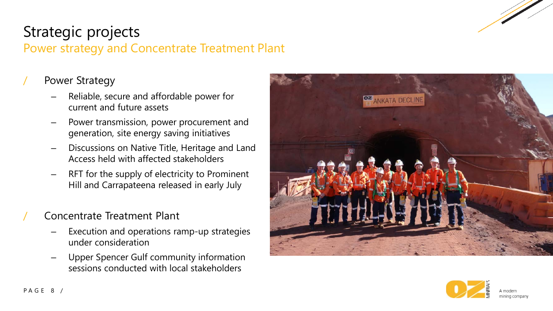

## Strategic projects

#### Power strategy and Concentrate Treatment Plant

#### Power Strategy

- Reliable, secure and affordable power for current and future assets
- Power transmission, power procurement and generation, site energy saving initiatives
- Discussions on Native Title, Heritage and Land Access held with affected stakeholders
- RFT for the supply of electricity to Prominent Hill and Carrapateena released in early July

#### / Concentrate Treatment Plant

- Execution and operations ramp-up strategies under consideration
- Upper Spencer Gulf community information sessions conducted with local stakeholders



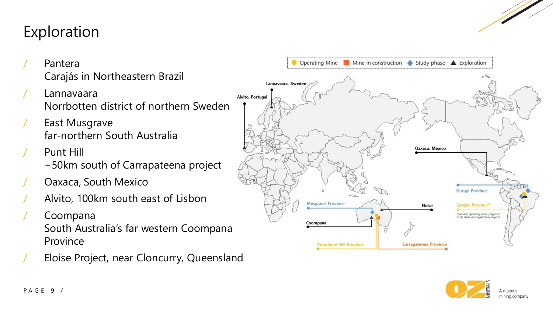## Exploration

- **Pantera** Carajás in Northeastern Brazil
- **Lannavaara** Norrbotten district of northern Sweden
- East Musgrave far-northern South Australia
- Punt Hill ~50km south of Carrapateena project
- / Oaxaca, South Mexico
- / Alvito, 100km south east of Lisbon
- / Coompana South Australia's far western Coompana Province
- / Eloise Project, near Cloncurry, Queensland